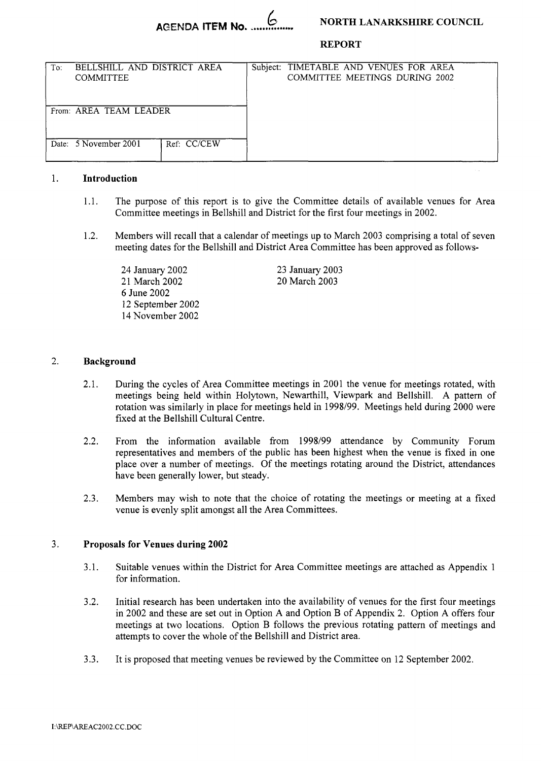### **NORTH LANARKSHIRE COUNCIL**

**REPORT** 

| To:                    | BELLSHILL AND DISTRICT AREA<br><b>COMMITTEE</b> |             |  | Subject: TIMETABLE AND VENUES FOR AREA<br>COMMITTEE MEETINGS DURING 2002 |  |
|------------------------|-------------------------------------------------|-------------|--|--------------------------------------------------------------------------|--|
| From: AREA TEAM LEADER |                                                 |             |  |                                                                          |  |
|                        | Date: 5 November 2001                           | Ref: CC/CEW |  |                                                                          |  |

#### 1. **Introduction**

- 1.1. The purpose of this report is to give the Committee details of available venues for Area Committee meetings in Bellshill and District for the first four meetings in 2002.
- 1.2. Members will recall that a calendar of meetings up to March 2003 comprising a total of seven meeting dates for the Bellshill and District Area Committee has been approved as follows-

24 January 2002 21 March 2002 *6* June 2002 12 September 2002 14 November 2002

23 January 2003 20 March 2003

#### 2. **Background**

- 2.1. During the cycles of Area Committee meetings in 2001 the venue for meetings rotated, with meetings being held within Holytown, Newarthill, Viewpark and Bellshill. A pattern of rotation was similarly in place for meetings held in 1998/99. Meetings held during 2000 were fixed at the Bellshill Cultural Centre.
- 2.2. From the information available from 1998/99 attendance by Community Forum representatives and members of the public has been highest when the venue is fixed in one place over a number of meetings. Of the meetings rotating around the District, attendances have been generally lower, but steady.
- 2.3. Members may wish to note that the choice of rotating the meetings or meeting at a fixed venue is evenly split amongst all the Area Committees.

#### 3 **Proposals for Venues during 2002**

- 3.1. Suitable venues within the District for Area Committee meetings are attached as Appendix 1 for information.
- 3.2. Initial research has been undertaken into the availability of venues for the first four meetings in 2002 and these are set out in Option A and Option B of Appendix 2. Option A offers four meetings at two locations. Option B follows the previous rotating pattern of meetings and attempts to cover the whole of the Bellshill and District area.
- 3.3. It is proposed that meeting venues be reviewed by the Committee on 12 September 2002.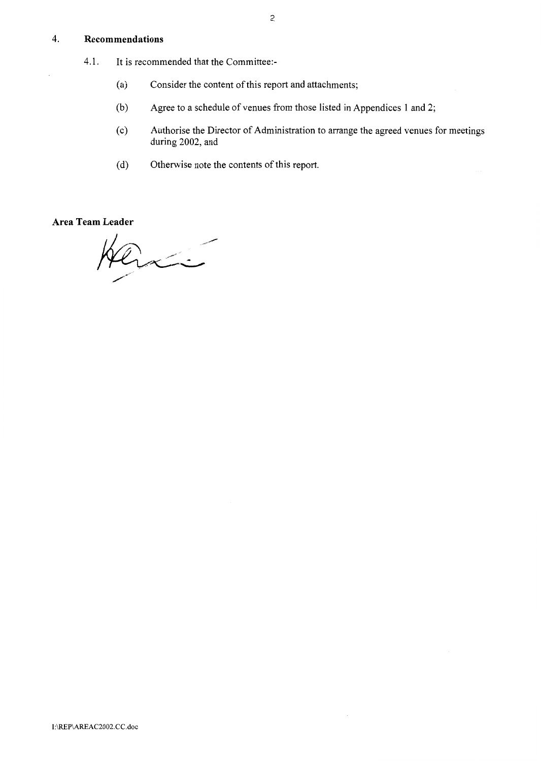#### <span id="page-1-0"></span>4. **Recommendations**

- 4.1. It is recommended that the Committee:-
	- (a) Consider the content of this report and attachments;
	- (b) Agree to a schedule of venues from those listed in Appendices 1 and *2;*
	- (c) Authorise the Director of Administration to arrange the agreed venues for meetings during 2002, and
	- (d) Otherwise note the contents of this report.

**Area Team Leader** 

avici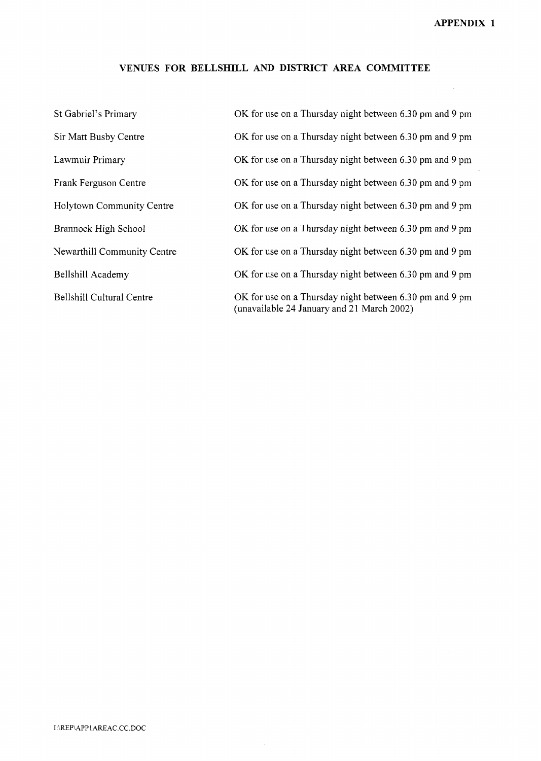$\sim$ 

### **VENUES FOR BELLSHILL AND DISTRICT AREA COMMITTEE**

| St Gabriel's Primary             | OK for use on a Thursday night between 6.30 pm and 9 pm                                               |
|----------------------------------|-------------------------------------------------------------------------------------------------------|
| Sir Matt Busby Centre            | OK for use on a Thursday night between 6.30 pm and 9 pm                                               |
| Lawmuir Primary                  | OK for use on a Thursday night between 6.30 pm and 9 pm                                               |
| Frank Ferguson Centre            | OK for use on a Thursday night between 6.30 pm and 9 pm                                               |
| <b>Holytown Community Centre</b> | OK for use on a Thursday night between 6.30 pm and 9 pm                                               |
| Brannock High School             | OK for use on a Thursday night between 6.30 pm and 9 pm                                               |
| Newarthill Community Centre      | OK for use on a Thursday night between 6.30 pm and 9 pm                                               |
| Bellshill Academy                | OK for use on a Thursday night between 6.30 pm and 9 pm                                               |
| Bellshill Cultural Centre        | OK for use on a Thursday night between 6.30 pm and 9 pm<br>(unavailable 24 January and 21 March 2002) |

 $\sim$